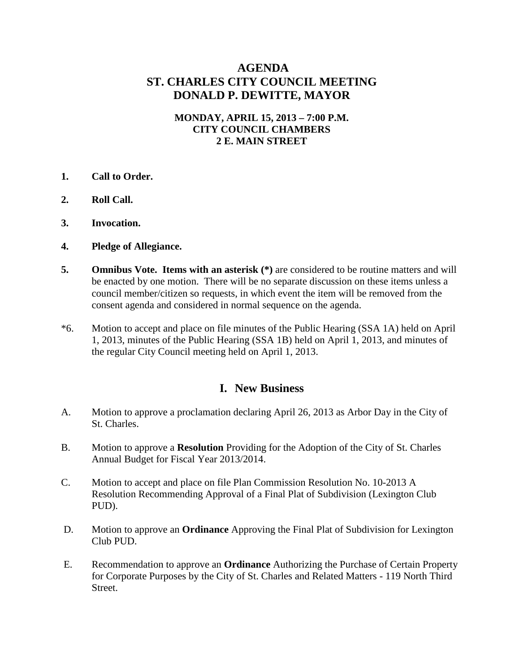## **AGENDA ST. CHARLES CITY COUNCIL MEETING DONALD P. DEWITTE, MAYOR**

#### **MONDAY, APRIL 15, 2013 – 7:00 P.M. CITY COUNCIL CHAMBERS 2 E. MAIN STREET**

- **1. Call to Order.**
- **2. Roll Call.**
- **3. Invocation.**
- **4. Pledge of Allegiance.**
- **5. Omnibus Vote. Items with an asterisk** (\*) are considered to be routine matters and will be enacted by one motion. There will be no separate discussion on these items unless a council member/citizen so requests, in which event the item will be removed from the consent agenda and considered in normal sequence on the agenda.
- \*6. Motion to accept and place on file minutes of the Public Hearing (SSA 1A) held on April 1, 2013, minutes of the Public Hearing (SSA 1B) held on April 1, 2013, and minutes of the regular City Council meeting held on April 1, 2013.

#### **I. New Business**

- A. Motion to approve a proclamation declaring April 26, 2013 as Arbor Day in the City of St. Charles.
- B. Motion to approve a **Resolution** Providing for the Adoption of the City of St. Charles Annual Budget for Fiscal Year 2013/2014.
- C. Motion to accept and place on file Plan Commission Resolution No. 10-2013 A Resolution Recommending Approval of a Final Plat of Subdivision (Lexington Club PUD).
- D. Motion to approve an **Ordinance** Approving the Final Plat of Subdivision for Lexington Club PUD.
- E. Recommendation to approve an **Ordinance** Authorizing the Purchase of Certain Property for Corporate Purposes by the City of St. Charles and Related Matters - 119 North Third Street.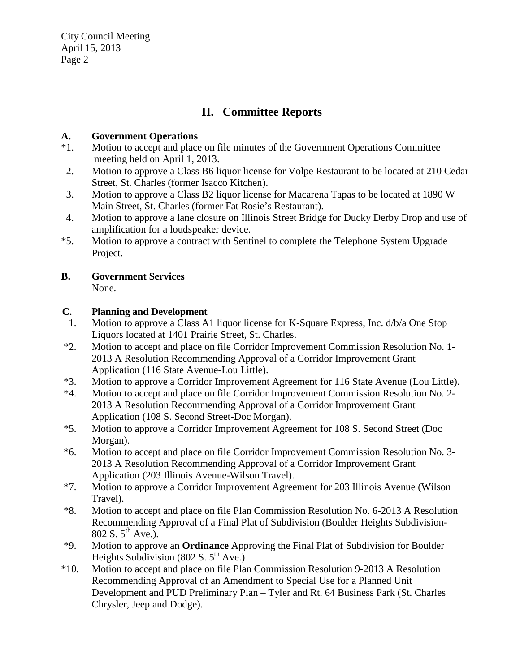City Council Meeting April 15, 2013 Page 2

# **II. Committee Reports**

#### **A. Government Operations**

- \*1. Motion to accept and place on file minutes of the Government Operations Committee meeting held on April 1, 2013.
- 2. Motion to approve a Class B6 liquor license for Volpe Restaurant to be located at 210 Cedar Street, St. Charles (former Isacco Kitchen).
- 3. Motion to approve a Class B2 liquor license for Macarena Tapas to be located at 1890 W Main Street, St. Charles (former Fat Rosie's Restaurant).
- 4. Motion to approve a lane closure on Illinois Street Bridge for Ducky Derby Drop and use of amplification for a loudspeaker device.
- \*5. Motion to approve a contract with Sentinel to complete the Telephone System Upgrade Project.

## **B. Government Services**

None.

#### **C. Planning and Development**

- 1. Motion to approve a Class A1 liquor license for K-Square Express, Inc. d/b/a One Stop Liquors located at 1401 Prairie Street, St. Charles.
- \*2. Motion to accept and place on file Corridor Improvement Commission Resolution No. 1- 2013 A Resolution Recommending Approval of a Corridor Improvement Grant Application (116 State Avenue-Lou Little).
- \*3. Motion to approve a Corridor Improvement Agreement for 116 State Avenue (Lou Little).
- \*4. Motion to accept and place on file Corridor Improvement Commission Resolution No. 2- 2013 A Resolution Recommending Approval of a Corridor Improvement Grant Application (108 S. Second Street-Doc Morgan).
- \*5. Motion to approve a Corridor Improvement Agreement for 108 S. Second Street (Doc Morgan).
- \*6. Motion to accept and place on file Corridor Improvement Commission Resolution No. 3- 2013 A Resolution Recommending Approval of a Corridor Improvement Grant Application (203 Illinois Avenue-Wilson Travel).
- \*7. Motion to approve a Corridor Improvement Agreement for 203 Illinois Avenue (Wilson Travel).
- \*8. Motion to accept and place on file Plan Commission Resolution No. 6-2013 A Resolution Recommending Approval of a Final Plat of Subdivision (Boulder Heights Subdivision-802 S.  $5^{th}$  Ave.).
- \*9. Motion to approve an **Ordinance** Approving the Final Plat of Subdivision for Boulder Heights Subdivision (802 S.  $5<sup>th</sup>$  Ave.)
- \*10. Motion to accept and place on file Plan Commission Resolution 9-2013 A Resolution Recommending Approval of an Amendment to Special Use for a Planned Unit Development and PUD Preliminary Plan – Tyler and Rt. 64 Business Park (St. Charles Chrysler, Jeep and Dodge).